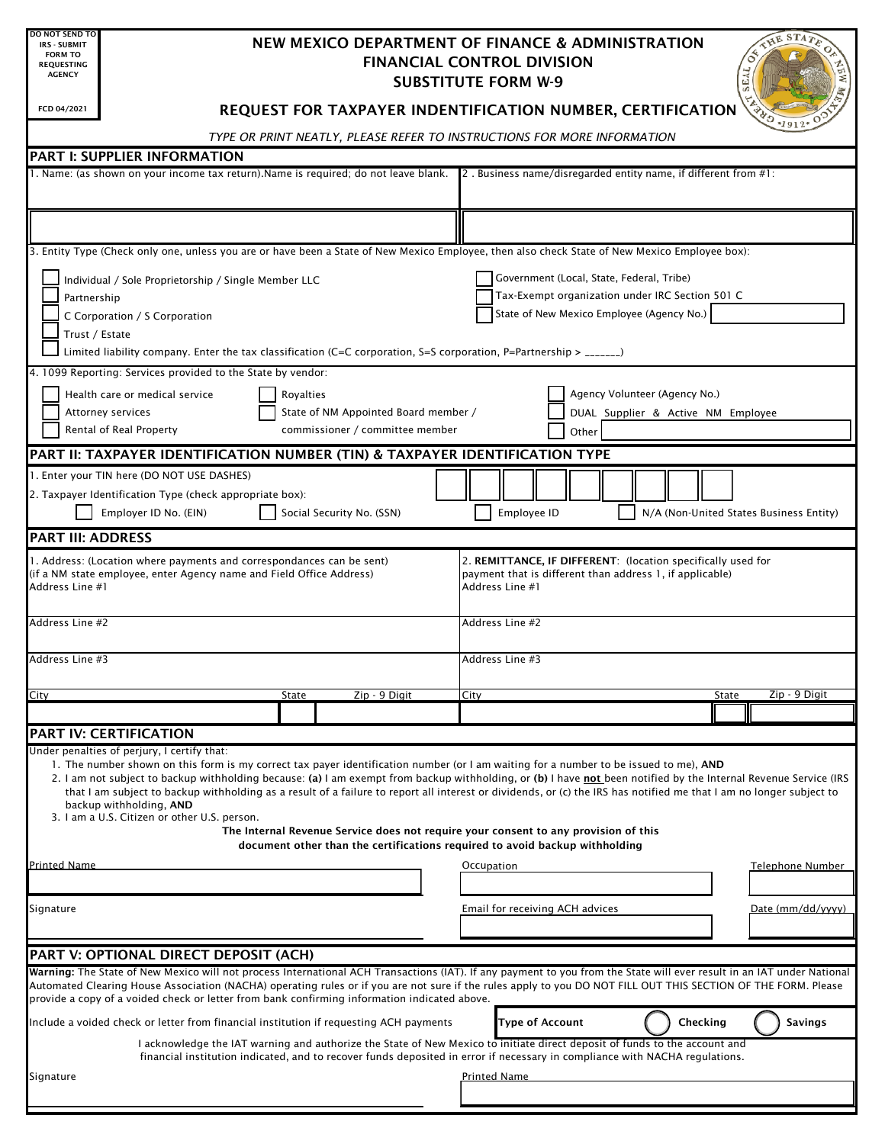| <b>DO NOT SEND TO</b><br><b>IRS - SUBMIT</b><br><b>FORM TO</b><br><b>REQUESTING</b><br><b>AGENCY</b>                                                                                                                                                                                                                                                                                                                                                                                                                                                                                                       | <b>HE STAT</b><br>NEW MEXICO DEPARTMENT OF FINANCE & ADMINISTRATION<br><b>FINANCIAL CONTROL DIVISION</b><br><b>SUBSTITUTE FORM W-9</b> |                                                                                                                                                                                                                                                           |  |      |                                                 |                                                                 |       |                               |  |  |                                    |  |                                         |  |  |  |
|------------------------------------------------------------------------------------------------------------------------------------------------------------------------------------------------------------------------------------------------------------------------------------------------------------------------------------------------------------------------------------------------------------------------------------------------------------------------------------------------------------------------------------------------------------------------------------------------------------|----------------------------------------------------------------------------------------------------------------------------------------|-----------------------------------------------------------------------------------------------------------------------------------------------------------------------------------------------------------------------------------------------------------|--|------|-------------------------------------------------|-----------------------------------------------------------------|-------|-------------------------------|--|--|------------------------------------|--|-----------------------------------------|--|--|--|
| FCD 04/2021                                                                                                                                                                                                                                                                                                                                                                                                                                                                                                                                                                                                |                                                                                                                                        | REQUEST FOR TAXPAYER INDENTIFICATION NUMBER, CERTIFICATION                                                                                                                                                                                                |  |      |                                                 |                                                                 |       |                               |  |  |                                    |  |                                         |  |  |  |
|                                                                                                                                                                                                                                                                                                                                                                                                                                                                                                                                                                                                            |                                                                                                                                        | TYPE OR PRINT NEATLY, PLEASE REFER TO INSTRUCTIONS FOR MORE INFORMATION                                                                                                                                                                                   |  |      |                                                 |                                                                 |       |                               |  |  |                                    |  |                                         |  |  |  |
| <b>PART I: SUPPLIER INFORMATION</b>                                                                                                                                                                                                                                                                                                                                                                                                                                                                                                                                                                        |                                                                                                                                        |                                                                                                                                                                                                                                                           |  |      |                                                 |                                                                 |       |                               |  |  |                                    |  |                                         |  |  |  |
| 1. Name: (as shown on your income tax return). Name is required; do not leave blank.                                                                                                                                                                                                                                                                                                                                                                                                                                                                                                                       |                                                                                                                                        |                                                                                                                                                                                                                                                           |  |      |                                                 | 2. Business name/disregarded entity name, if different from #1: |       |                               |  |  |                                    |  |                                         |  |  |  |
|                                                                                                                                                                                                                                                                                                                                                                                                                                                                                                                                                                                                            |                                                                                                                                        |                                                                                                                                                                                                                                                           |  |      |                                                 |                                                                 |       |                               |  |  |                                    |  |                                         |  |  |  |
|                                                                                                                                                                                                                                                                                                                                                                                                                                                                                                                                                                                                            |                                                                                                                                        |                                                                                                                                                                                                                                                           |  |      |                                                 |                                                                 |       |                               |  |  |                                    |  |                                         |  |  |  |
| 3. Entity Type (Check only one, unless you are or have been a State of New Mexico Employee, then also check State of New Mexico Employee box):                                                                                                                                                                                                                                                                                                                                                                                                                                                             |                                                                                                                                        |                                                                                                                                                                                                                                                           |  |      |                                                 |                                                                 |       |                               |  |  |                                    |  |                                         |  |  |  |
| Individual / Sole Proprietorship / Single Member LLC                                                                                                                                                                                                                                                                                                                                                                                                                                                                                                                                                       |                                                                                                                                        |                                                                                                                                                                                                                                                           |  |      | Government (Local, State, Federal, Tribe)       |                                                                 |       |                               |  |  |                                    |  |                                         |  |  |  |
| Partnership                                                                                                                                                                                                                                                                                                                                                                                                                                                                                                                                                                                                |                                                                                                                                        |                                                                                                                                                                                                                                                           |  |      | Tax-Exempt organization under IRC Section 501 C |                                                                 |       |                               |  |  |                                    |  |                                         |  |  |  |
| C Corporation / S Corporation                                                                                                                                                                                                                                                                                                                                                                                                                                                                                                                                                                              |                                                                                                                                        |                                                                                                                                                                                                                                                           |  |      |                                                 | State of New Mexico Employee (Agency No.)                       |       |                               |  |  |                                    |  |                                         |  |  |  |
| Trust / Estate                                                                                                                                                                                                                                                                                                                                                                                                                                                                                                                                                                                             |                                                                                                                                        |                                                                                                                                                                                                                                                           |  |      |                                                 |                                                                 |       |                               |  |  |                                    |  |                                         |  |  |  |
| Limited liability company. Enter the tax classification (C=C corporation, S=S corporation, P=Partnership > $\frac{1}{2}$                                                                                                                                                                                                                                                                                                                                                                                                                                                                                   |                                                                                                                                        |                                                                                                                                                                                                                                                           |  |      |                                                 |                                                                 |       |                               |  |  |                                    |  |                                         |  |  |  |
| 4. 1099 Reporting: Services provided to the State by vendor:                                                                                                                                                                                                                                                                                                                                                                                                                                                                                                                                               |                                                                                                                                        |                                                                                                                                                                                                                                                           |  |      |                                                 |                                                                 |       |                               |  |  |                                    |  |                                         |  |  |  |
| Health care or medical service<br>Royalties                                                                                                                                                                                                                                                                                                                                                                                                                                                                                                                                                                |                                                                                                                                        |                                                                                                                                                                                                                                                           |  |      |                                                 |                                                                 |       | Agency Volunteer (Agency No.) |  |  |                                    |  |                                         |  |  |  |
| State of NM Appointed Board member /<br>Attorney services<br>Rental of Real Property<br>commissioner / committee member                                                                                                                                                                                                                                                                                                                                                                                                                                                                                    |                                                                                                                                        |                                                                                                                                                                                                                                                           |  |      |                                                 |                                                                 | Other |                               |  |  | DUAL Supplier & Active NM Employee |  |                                         |  |  |  |
|                                                                                                                                                                                                                                                                                                                                                                                                                                                                                                                                                                                                            |                                                                                                                                        |                                                                                                                                                                                                                                                           |  |      |                                                 |                                                                 |       |                               |  |  |                                    |  |                                         |  |  |  |
| PART II: TAXPAYER IDENTIFICATION NUMBER (TIN) & TAXPAYER IDENTIFICATION TYPE                                                                                                                                                                                                                                                                                                                                                                                                                                                                                                                               |                                                                                                                                        |                                                                                                                                                                                                                                                           |  |      |                                                 |                                                                 |       |                               |  |  |                                    |  |                                         |  |  |  |
| 1. Enter your TIN here (DO NOT USE DASHES)                                                                                                                                                                                                                                                                                                                                                                                                                                                                                                                                                                 |                                                                                                                                        |                                                                                                                                                                                                                                                           |  |      |                                                 |                                                                 |       |                               |  |  |                                    |  |                                         |  |  |  |
| 2. Taxpayer Identification Type (check appropriate box):<br>Employer ID No. (EIN)                                                                                                                                                                                                                                                                                                                                                                                                                                                                                                                          |                                                                                                                                        | Social Security No. (SSN)                                                                                                                                                                                                                                 |  |      |                                                 | Employee ID                                                     |       |                               |  |  |                                    |  | N/A (Non-United States Business Entity) |  |  |  |
| <b>PART III: ADDRESS</b>                                                                                                                                                                                                                                                                                                                                                                                                                                                                                                                                                                                   |                                                                                                                                        |                                                                                                                                                                                                                                                           |  |      |                                                 |                                                                 |       |                               |  |  |                                    |  |                                         |  |  |  |
| (if a NM state employee, enter Agency name and Field Office Address)<br>Address Line #1<br>Address Line #2                                                                                                                                                                                                                                                                                                                                                                                                                                                                                                 |                                                                                                                                        |                                                                                                                                                                                                                                                           |  |      | Address Line #1<br>Address Line #2              | payment that is different than address 1, if applicable)        |       |                               |  |  |                                    |  |                                         |  |  |  |
| Address Line #3                                                                                                                                                                                                                                                                                                                                                                                                                                                                                                                                                                                            |                                                                                                                                        |                                                                                                                                                                                                                                                           |  |      | Address Line #3                                 |                                                                 |       |                               |  |  |                                    |  |                                         |  |  |  |
| City                                                                                                                                                                                                                                                                                                                                                                                                                                                                                                                                                                                                       | <b>State</b>                                                                                                                           | Zip - 9 Digit                                                                                                                                                                                                                                             |  | City |                                                 |                                                                 |       |                               |  |  | State                              |  | Zip - 9 Digit                           |  |  |  |
|                                                                                                                                                                                                                                                                                                                                                                                                                                                                                                                                                                                                            |                                                                                                                                        |                                                                                                                                                                                                                                                           |  |      |                                                 |                                                                 |       |                               |  |  |                                    |  |                                         |  |  |  |
| <b>PART IV: CERTIFICATION</b>                                                                                                                                                                                                                                                                                                                                                                                                                                                                                                                                                                              |                                                                                                                                        |                                                                                                                                                                                                                                                           |  |      |                                                 |                                                                 |       |                               |  |  |                                    |  |                                         |  |  |  |
| Under penalties of perjury, I certify that:<br>1. The number shown on this form is my correct tax payer identification number (or I am waiting for a number to be issued to me), AND<br>2. I am not subject to backup withholding because: (a) I am exempt from backup withholding, or (b) I have not been notified by the Internal Revenue Service (IRS<br>that I am subject to backup withholding as a result of a failure to report all interest or dividends, or (c) the IRS has notified me that I am no longer subject to<br>backup withholding, AND<br>3. I am a U.S. Citizen or other U.S. person. |                                                                                                                                        | The Internal Revenue Service does not require your consent to any provision of this<br>document other than the certifications required to avoid backup withholding                                                                                        |  |      |                                                 |                                                                 |       |                               |  |  |                                    |  |                                         |  |  |  |
| <b>Printed Name</b>                                                                                                                                                                                                                                                                                                                                                                                                                                                                                                                                                                                        |                                                                                                                                        |                                                                                                                                                                                                                                                           |  |      | Occupation                                      |                                                                 |       |                               |  |  |                                    |  | Telephone Number                        |  |  |  |
|                                                                                                                                                                                                                                                                                                                                                                                                                                                                                                                                                                                                            |                                                                                                                                        |                                                                                                                                                                                                                                                           |  |      |                                                 |                                                                 |       |                               |  |  |                                    |  |                                         |  |  |  |
| Signature                                                                                                                                                                                                                                                                                                                                                                                                                                                                                                                                                                                                  |                                                                                                                                        |                                                                                                                                                                                                                                                           |  |      |                                                 | Email for receiving ACH advices                                 |       |                               |  |  |                                    |  | Date (mm/dd/vyyy)                       |  |  |  |
|                                                                                                                                                                                                                                                                                                                                                                                                                                                                                                                                                                                                            |                                                                                                                                        |                                                                                                                                                                                                                                                           |  |      |                                                 |                                                                 |       |                               |  |  |                                    |  |                                         |  |  |  |
|                                                                                                                                                                                                                                                                                                                                                                                                                                                                                                                                                                                                            |                                                                                                                                        |                                                                                                                                                                                                                                                           |  |      |                                                 |                                                                 |       |                               |  |  |                                    |  |                                         |  |  |  |
| PART V: OPTIONAL DIRECT DEPOSIT (ACH)<br>Warning: The State of New Mexico will not process International ACH Transactions (IAT). If any payment to you from the State will ever result in an IAT under National<br>Automated Clearing House Association (NACHA) operating rules or if you are not sure if the rules apply to you DO NOT FILL OUT THIS SECTION OF THE FORM. Please<br>provide a copy of a voided check or letter from bank confirming information indicated above.                                                                                                                          |                                                                                                                                        |                                                                                                                                                                                                                                                           |  |      |                                                 |                                                                 |       |                               |  |  |                                    |  |                                         |  |  |  |
|                                                                                                                                                                                                                                                                                                                                                                                                                                                                                                                                                                                                            |                                                                                                                                        |                                                                                                                                                                                                                                                           |  |      |                                                 | <b>Type of Account</b>                                          |       |                               |  |  | Checking                           |  |                                         |  |  |  |
| Include a voided check or letter from financial institution if requesting ACH payments                                                                                                                                                                                                                                                                                                                                                                                                                                                                                                                     |                                                                                                                                        |                                                                                                                                                                                                                                                           |  |      |                                                 |                                                                 |       |                               |  |  |                                    |  | Savings                                 |  |  |  |
|                                                                                                                                                                                                                                                                                                                                                                                                                                                                                                                                                                                                            |                                                                                                                                        | I acknowledge the IAT warning and authorize the State of New Mexico to initiate direct deposit of funds to the account and<br>financial institution indicated, and to recover funds deposited in error if necessary in compliance with NACHA regulations. |  |      |                                                 |                                                                 |       |                               |  |  |                                    |  |                                         |  |  |  |